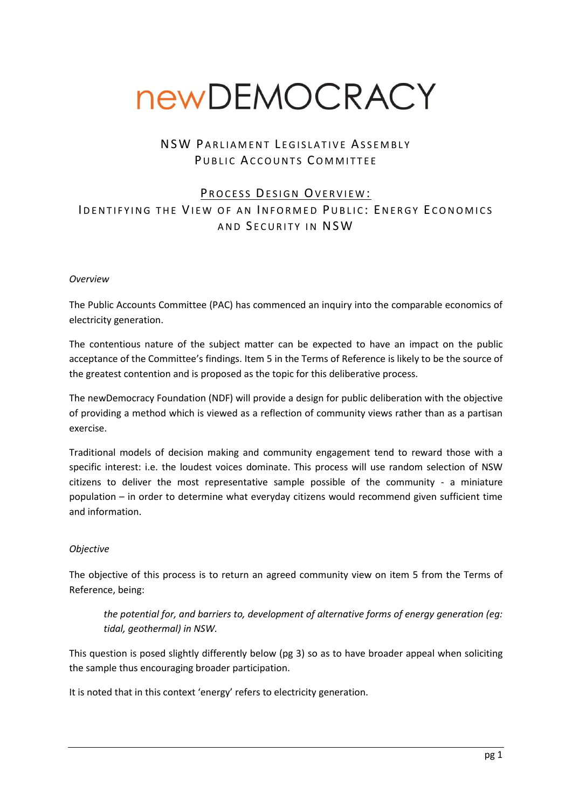# newDEMOCRACY

# NSW PARLIAMENT LEGISLATIVE ASSEMBLY PUBLIC ACCOUNTS COMMITTEE

# PROCESS DESIGN OVERVIEW: ID ENTIFYING THE VIEW OF AN INFORMED PUBLIC: ENFRGY ECONOMICS AND SECURITY IN NSW

#### *Overview*

The Public Accounts Committee (PAC) has commenced an inquiry into the comparable economics of electricity generation.

The contentious nature of the subject matter can be expected to have an impact on the public acceptance of the Committee's findings. Item 5 in the Terms of Reference is likely to be the source of the greatest contention and is proposed as the topic for this deliberative process.

The newDemocracy Foundation (NDF) will provide a design for public deliberation with the objective of providing a method which is viewed as a reflection of community views rather than as a partisan exercise.

Traditional models of decision making and community engagement tend to reward those with a specific interest: i.e. the loudest voices dominate. This process will use random selection of NSW citizens to deliver the most representative sample possible of the community - a miniature population – in order to determine what everyday citizens would recommend given sufficient time and information.

## *Objective*

The objective of this process is to return an agreed community view on item 5 from the Terms of Reference, being:

*the potential for, and barriers to, development of alternative forms of energy generation (eg: tidal, geothermal) in NSW.*

This question is posed slightly differently below (pg 3) so as to have broader appeal when soliciting the sample thus encouraging broader participation.

It is noted that in this context 'energy' refers to electricity generation.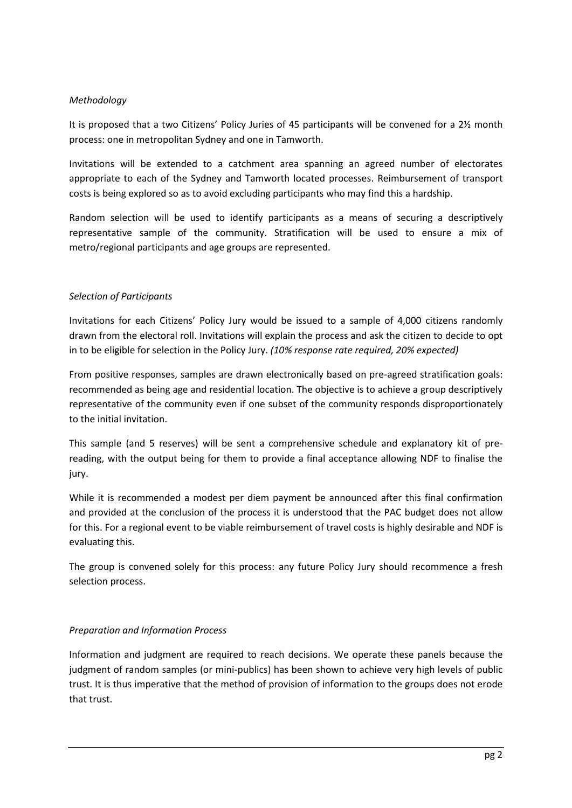# *Methodology*

It is proposed that a two Citizens' Policy Juries of 45 participants will be convened for a 2½ month process: one in metropolitan Sydney and one in Tamworth.

Invitations will be extended to a catchment area spanning an agreed number of electorates appropriate to each of the Sydney and Tamworth located processes. Reimbursement of transport costs is being explored so as to avoid excluding participants who may find this a hardship.

Random selection will be used to identify participants as a means of securing a descriptively representative sample of the community. Stratification will be used to ensure a mix of metro/regional participants and age groups are represented.

# *Selection of Participants*

Invitations for each Citizens' Policy Jury would be issued to a sample of 4,000 citizens randomly drawn from the electoral roll. Invitations will explain the process and ask the citizen to decide to opt in to be eligible for selection in the Policy Jury. *(10% response rate required, 20% expected)*

From positive responses, samples are drawn electronically based on pre-agreed stratification goals: recommended as being age and residential location. The objective is to achieve a group descriptively representative of the community even if one subset of the community responds disproportionately to the initial invitation.

This sample (and 5 reserves) will be sent a comprehensive schedule and explanatory kit of prereading, with the output being for them to provide a final acceptance allowing NDF to finalise the jury.

While it is recommended a modest per diem payment be announced after this final confirmation and provided at the conclusion of the process it is understood that the PAC budget does not allow for this. For a regional event to be viable reimbursement of travel costs is highly desirable and NDF is evaluating this.

The group is convened solely for this process: any future Policy Jury should recommence a fresh selection process.

## *Preparation and Information Process*

Information and judgment are required to reach decisions. We operate these panels because the judgment of random samples (or mini-publics) has been shown to achieve very high levels of public trust. It is thus imperative that the method of provision of information to the groups does not erode that trust.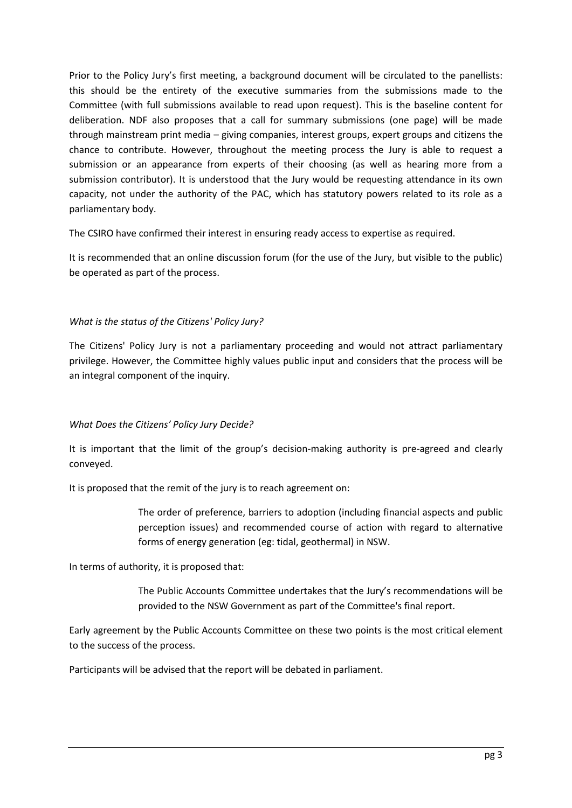Prior to the Policy Jury's first meeting, a background document will be circulated to the panellists: this should be the entirety of the executive summaries from the submissions made to the Committee (with full submissions available to read upon request). This is the baseline content for deliberation. NDF also proposes that a call for summary submissions (one page) will be made through mainstream print media – giving companies, interest groups, expert groups and citizens the chance to contribute. However, throughout the meeting process the Jury is able to request a submission or an appearance from experts of their choosing (as well as hearing more from a submission contributor). It is understood that the Jury would be requesting attendance in its own capacity, not under the authority of the PAC, which has statutory powers related to its role as a parliamentary body.

The CSIRO have confirmed their interest in ensuring ready access to expertise as required.

It is recommended that an online discussion forum (for the use of the Jury, but visible to the public) be operated as part of the process.

# *What is the status of the Citizens' Policy Jury?*

The Citizens' Policy Jury is not a parliamentary proceeding and would not attract parliamentary privilege. However, the Committee highly values public input and considers that the process will be an integral component of the inquiry.

# *What Does the Citizens' Policy Jury Decide?*

It is important that the limit of the group's decision-making authority is pre-agreed and clearly conveyed.

It is proposed that the remit of the jury is to reach agreement on:

The order of preference, barriers to adoption (including financial aspects and public perception issues) and recommended course of action with regard to alternative forms of energy generation (eg: tidal, geothermal) in NSW.

In terms of authority, it is proposed that:

The Public Accounts Committee undertakes that the Jury's recommendations will be provided to the NSW Government as part of the Committee's final report.

Early agreement by the Public Accounts Committee on these two points is the most critical element to the success of the process.

Participants will be advised that the report will be debated in parliament.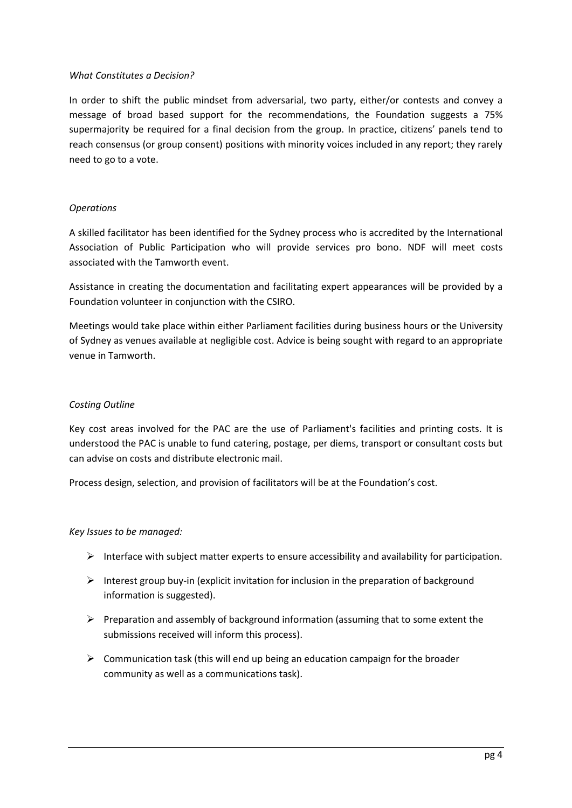#### *What Constitutes a Decision?*

In order to shift the public mindset from adversarial, two party, either/or contests and convey a message of broad based support for the recommendations, the Foundation suggests a 75% supermajority be required for a final decision from the group. In practice, citizens' panels tend to reach consensus (or group consent) positions with minority voices included in any report; they rarely need to go to a vote.

## *Operations*

A skilled facilitator has been identified for the Sydney process who is accredited by the International Association of Public Participation who will provide services pro bono. NDF will meet costs associated with the Tamworth event.

Assistance in creating the documentation and facilitating expert appearances will be provided by a Foundation volunteer in conjunction with the CSIRO.

Meetings would take place within either Parliament facilities during business hours or the University of Sydney as venues available at negligible cost. Advice is being sought with regard to an appropriate venue in Tamworth.

## *Costing Outline*

Key cost areas involved for the PAC are the use of Parliament's facilities and printing costs. It is understood the PAC is unable to fund catering, postage, per diems, transport or consultant costs but can advise on costs and distribute electronic mail.

Process design, selection, and provision of facilitators will be at the Foundation's cost.

## *Key Issues to be managed:*

- $\triangleright$  Interface with subject matter experts to ensure accessibility and availability for participation.
- $\triangleright$  Interest group buy-in (explicit invitation for inclusion in the preparation of background information is suggested).
- $\triangleright$  Preparation and assembly of background information (assuming that to some extent the submissions received will inform this process).
- $\triangleright$  Communication task (this will end up being an education campaign for the broader community as well as a communications task).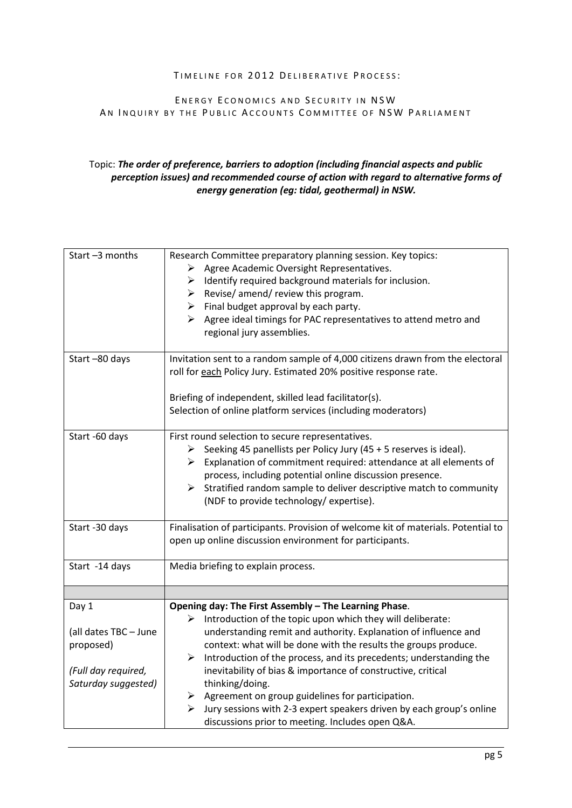#### TIMELINE FOR 2012 DELIBERATIVE PROCESS:

# ENERGY ECONOMICS AND SECURITY IN NSW AN INQUIRY BY THE PUBLIC ACCOUNTS COMMITTEE OF NSW PARLIAMENT

# Topic: *The order of preference, barriers to adoption (including financial aspects and public perception issues) and recommended course of action with regard to alternative forms of energy generation (eg: tidal, geothermal) in NSW.*

| Start-3 months                                                                            | Research Committee preparatory planning session. Key topics:<br>Agree Academic Oversight Representatives.<br>➤<br>Identify required background materials for inclusion.<br>➤<br>Revise/ amend/ review this program.<br>≻<br>$\triangleright$ Final budget approval by each party.<br>Agree ideal timings for PAC representatives to attend metro and<br>≻<br>regional jury assemblies.                                                                                                                                                                                                                                             |
|-------------------------------------------------------------------------------------------|------------------------------------------------------------------------------------------------------------------------------------------------------------------------------------------------------------------------------------------------------------------------------------------------------------------------------------------------------------------------------------------------------------------------------------------------------------------------------------------------------------------------------------------------------------------------------------------------------------------------------------|
| Start-80 days                                                                             | Invitation sent to a random sample of 4,000 citizens drawn from the electoral<br>roll for each Policy Jury. Estimated 20% positive response rate.<br>Briefing of independent, skilled lead facilitator(s).<br>Selection of online platform services (including moderators)                                                                                                                                                                                                                                                                                                                                                         |
| Start -60 days                                                                            | First round selection to secure representatives.<br>Seeking 45 panellists per Policy Jury (45 + 5 reserves is ideal).<br>➤<br>Explanation of commitment required: attendance at all elements of<br>➤<br>process, including potential online discussion presence.<br>Stratified random sample to deliver descriptive match to community<br>≻<br>(NDF to provide technology/ expertise).                                                                                                                                                                                                                                             |
| Start -30 days                                                                            | Finalisation of participants. Provision of welcome kit of materials. Potential to<br>open up online discussion environment for participants.                                                                                                                                                                                                                                                                                                                                                                                                                                                                                       |
| Start -14 days                                                                            | Media briefing to explain process.                                                                                                                                                                                                                                                                                                                                                                                                                                                                                                                                                                                                 |
|                                                                                           |                                                                                                                                                                                                                                                                                                                                                                                                                                                                                                                                                                                                                                    |
| Day 1<br>(all dates TBC - June<br>proposed)<br>(Full day required,<br>Saturday suggested) | Opening day: The First Assembly - The Learning Phase.<br>Introduction of the topic upon which they will deliberate:<br>➤<br>understanding remit and authority. Explanation of influence and<br>context: what will be done with the results the groups produce.<br>Introduction of the process, and its precedents; understanding the<br>≻<br>inevitability of bias & importance of constructive, critical<br>thinking/doing.<br>$\triangleright$ Agreement on group guidelines for participation.<br>Jury sessions with 2-3 expert speakers driven by each group's online<br>≻<br>discussions prior to meeting. Includes open Q&A. |